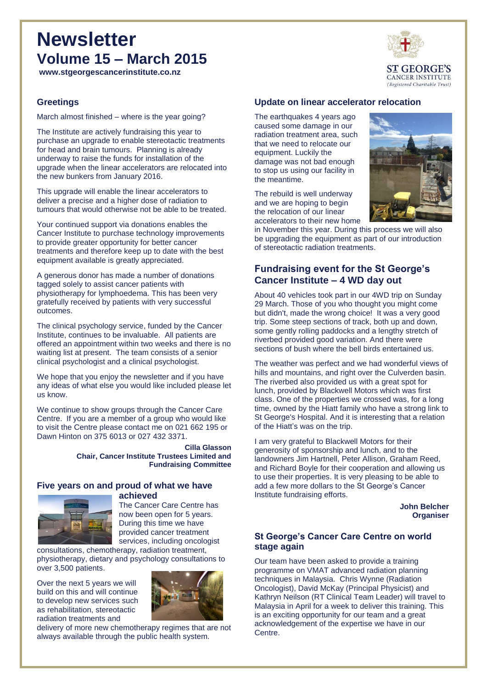# **Newsletter Volume 15 – March 2015**

**www.stgeorgescancerinstitute.co.nz**

### **Greetings**

March almost finished – where is the year going?

The Institute are actively fundraising this year to purchase an upgrade to enable stereotactic treatments for head and brain tumours. Planning is already underway to raise the funds for installation of the upgrade when the linear accelerators are relocated into the new bunkers from January 2016.

This upgrade will enable the linear accelerators to deliver a precise and a higher dose of radiation to tumours that would otherwise not be able to be treated.

Your continued support via donations enables the Cancer Institute to purchase technology improvements to provide greater opportunity for better cancer treatments and therefore keep up to date with the best equipment available is greatly appreciated.

A generous donor has made a number of donations tagged solely to assist cancer patients with physiotherapy for lymphoedema. This has been very gratefully received by patients with very successful outcomes.

The clinical psychology service, funded by the Cancer Institute, continues to be invaluable. All patients are offered an appointment within two weeks and there is no waiting list at present. The team consists of a senior clinical psychologist and a clinical psychologist.

We hope that you enjoy the newsletter and if you have any ideas of what else you would like included please let us know.

We continue to show groups through the Cancer Care Centre. If you are a member of a group who would like to visit the Centre please contact me on 021 662 195 or Dawn Hinton on 375 6013 or 027 432 3371.

> **Cilla Glasson Chair, Cancer Institute Trustees Limited and Fundraising Committee**

#### **Five years on and proud of what we have achieved**



The Cancer Care Centre has now been open for 5 years. During this time we have provided cancer treatment services, including oncologist

consultations, chemotherapy, radiation treatment, physiotherapy, dietary and psychology consultations to over 3,500 patients.

Over the next 5 years we will build on this and will continue to develop new services such as rehabilitation, stereotactic radiation treatments and



delivery of more new chemotherapy regimes that are not always available through the public health system.



The earthquakes 4 years ago caused some damage in our radiation treatment area, such that we need to relocate our equipment. Luckily the damage was not bad enough to stop us using our facility in the meantime.

The rebuild is well underway and we are hoping to begin the relocation of our linear accelerators to their new home



in November this year. During this process we will also be upgrading the equipment as part of our introduction of stereotactic radiation treatments.

## **Fundraising event for the St George's Cancer Institute – 4 WD day out**

About 40 vehicles took part in our 4WD trip on Sunday 29 March. Those of you who thought you might come but didn't, made the wrong choice! It was a very good trip. Some steep sections of track, both up and down, some gently rolling paddocks and a lengthy stretch of riverbed provided good variation. And there were sections of bush where the bell birds entertained us.

The weather was perfect and we had wonderful views of hills and mountains, and right over the Culverden basin. The riverbed also provided us with a great spot for lunch, provided by Blackwell Motors which was first class. One of the properties we crossed was, for a long time, owned by the Hiatt family who have a strong link to St George's Hospital. And it is interesting that a relation of the Hiatt's was on the trip.

I am very grateful to Blackwell Motors for their generosity of sponsorship and lunch, and to the landowners Jim Hartnell, Peter Allison, Graham Reed, and Richard Boyle for their cooperation and allowing us to use their properties. It is very pleasing to be able to add a few more dollars to the St George's Cancer Institute fundraising efforts.

> **John Belcher Organiser**

### **St George's Cancer Care Centre on world stage again**

Our team have been asked to provide a training programme on VMAT advanced radiation planning techniques in Malaysia. Chris Wynne (Radiation Oncologist), David McKay (Principal Physicist) and Kathryn Neilson (RT Clinical Team Leader) will travel to Malaysia in April for a week to deliver this training. This is an exciting opportunity for our team and a great acknowledgement of the expertise we have in our Centre.